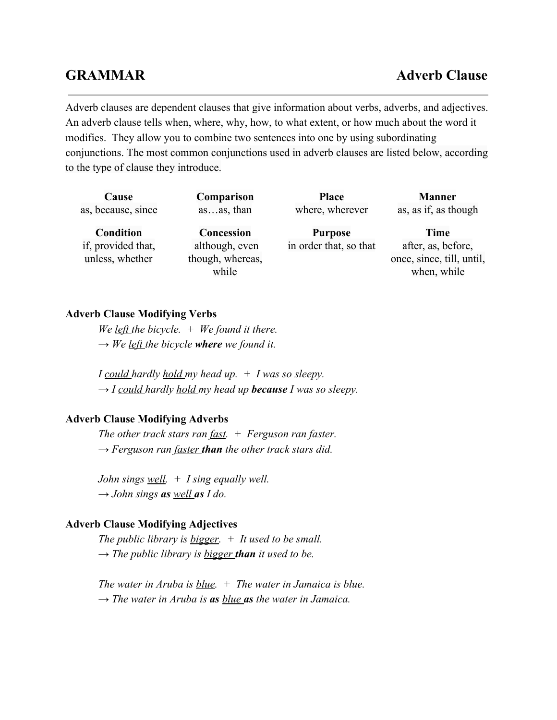Adverb clauses are dependent clauses that give information about verbs, adverbs, and adjectives. An adverb clause tells when, where, why, how, to what extent, or how much about the word it modifies. They allow you to combine two sentences into one by using subordinating conjunctions. The most common conjunctions used in adverb clauses are listed below, according to the type of clause they introduce.

| Cause                                 | Comparison                                  | <b>Place</b>           | <b>Manner</b>                                                  |
|---------------------------------------|---------------------------------------------|------------------------|----------------------------------------------------------------|
| as, because, since                    | asas, than                                  | where, wherever        | as, as if, as though                                           |
| <b>Condition</b>                      | <b>Concession</b>                           | <b>Purpose</b>         | Time                                                           |
| if, provided that,<br>unless, whether | although, even<br>though, whereas,<br>while | in order that, so that | after, as, before,<br>once, since, till, until,<br>when, while |

#### **Adverb Clause Modifying Verbs**

*We left the bicycle.*  $+$  *We found it there. → We left the bicycle wherewe found it.*

*I could hardly hold my head up. + I was so sleepy. → I could hardly hold my head up becauseI was so sleepy.*

## **Adverb Clause Modifying Adverbs**

*The other track stars ran fast. + Ferguson ran faster. → Ferguson ran faster thanthe other track stars did.*

*John sings well. + I sing equally well. → John sings aswell as I do.*

#### **Adverb Clause Modifying Adjectives**

*The public library is bigger. + It used to be small. → The public library is bigger than it used to be.*

*The water in Aruba is blue. + The water in Jamaica is blue. → The water in Aruba is asblue as the water in Jamaica.*